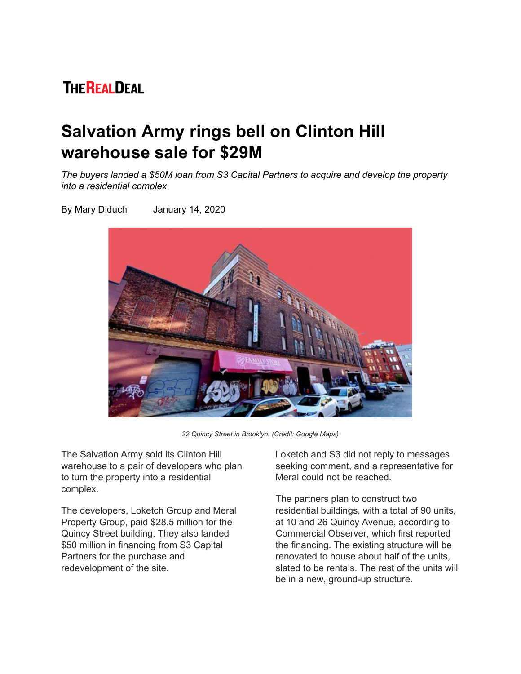## **THE REALDEAL**

## **Salvation Army rings bell on Clinton Hill warehouse sale for \$29M**

*The buyers landed a \$50M loan from S3 Capital Partners to acquire and develop the property into a residential complex*

By Mary Diduch January 14, 2020



*22 Quincy Street in Brooklyn. (Credit: Google Maps)*

The Salvation Army sold its Clinton Hill warehouse to a pair of developers who plan to turn the property into a residential complex.

The developers, Loketch Group and Meral Property Group, paid \$28.5 million for the Quincy Street building. They also landed \$50 million in financing from S3 Capital Partners for the purchase and redevelopment of the site.

Loketch and S3 did not reply to messages seeking comment, and a representative for Meral could not be reached.

The partners plan to construct two residential buildings, with a total of 90 units, at 10 and 26 Quincy Avenue, according to Commercial Observer, which first reported the financing. The existing structure will be renovated to house about half of the units, slated to be rentals. The rest of the units will be in a new, ground-up structure.